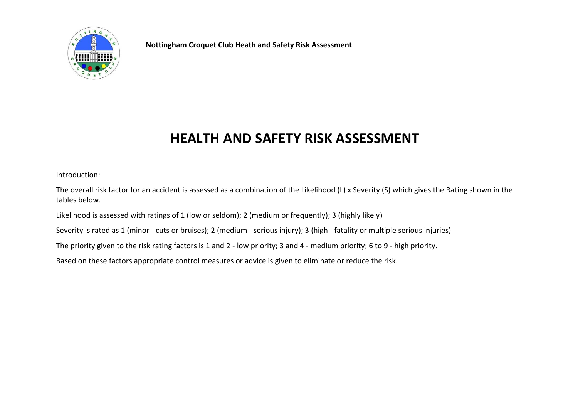

**Nottingham Croquet Club Heath and Safety Risk Assessment**

## **HEALTH AND SAFETY RISK ASSESSMENT**

Introduction:

The overall risk factor for an accident is assessed as a combination of the Likelihood (L) x Severity (S) which gives the Rating shown in the tables below.

Likelihood is assessed with ratings of 1 (low or seldom); 2 (medium or frequently); 3 (highly likely)

Severity is rated as 1 (minor - cuts or bruises); 2 (medium - serious injury); 3 (high - fatality or multiple serious injuries)

The priority given to the risk rating factors is 1 and 2 - low priority; 3 and 4 - medium priority; 6 to 9 - high priority.

Based on these factors appropriate control measures or advice is given to eliminate or reduce the risk.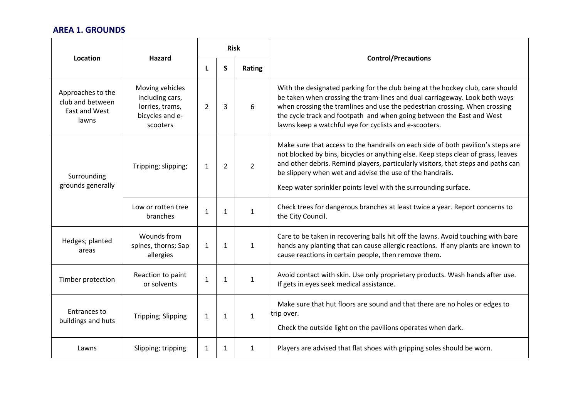## **AREA 1. GROUNDS**

| Location                                                        | Hazard                                                                               | <b>Risk</b>  |                |                |                                                                                                                                                                                                                                                                                                                                                                                            |
|-----------------------------------------------------------------|--------------------------------------------------------------------------------------|--------------|----------------|----------------|--------------------------------------------------------------------------------------------------------------------------------------------------------------------------------------------------------------------------------------------------------------------------------------------------------------------------------------------------------------------------------------------|
|                                                                 |                                                                                      | L            | S              | Rating         | <b>Control/Precautions</b>                                                                                                                                                                                                                                                                                                                                                                 |
| Approaches to the<br>club and between<br>East and West<br>lawns | Moving vehicles<br>including cars,<br>lorries, trams,<br>bicycles and e-<br>scooters | 2            | 3              | 6              | With the designated parking for the club being at the hockey club, care should<br>be taken when crossing the tram-lines and dual carriageway. Look both ways<br>when crossing the tramlines and use the pedestrian crossing. When crossing<br>the cycle track and footpath and when going between the East and West<br>lawns keep a watchful eye for cyclists and e-scooters.              |
| Surrounding<br>grounds generally                                | Tripping; slipping;                                                                  | $\mathbf{1}$ | $\overline{2}$ | $\overline{2}$ | Make sure that access to the handrails on each side of both pavilion's steps are<br>not blocked by bins, bicycles or anything else. Keep steps clear of grass, leaves<br>and other debris. Remind players, particularly visitors, that steps and paths can<br>be slippery when wet and advise the use of the handrails.<br>Keep water sprinkler points level with the surrounding surface. |
|                                                                 | Low or rotten tree<br>branches                                                       | $\mathbf{1}$ | $\mathbf{1}$   | $\mathbf{1}$   | Check trees for dangerous branches at least twice a year. Report concerns to<br>the City Council.                                                                                                                                                                                                                                                                                          |
| Hedges; planted<br>areas                                        | Wounds from<br>spines, thorns; Sap<br>allergies                                      | $\mathbf{1}$ | $\mathbf{1}$   | $\mathbf{1}$   | Care to be taken in recovering balls hit off the lawns. Avoid touching with bare<br>hands any planting that can cause allergic reactions. If any plants are known to<br>cause reactions in certain people, then remove them.                                                                                                                                                               |
| Timber protection                                               | Reaction to paint<br>or solvents                                                     | 1            | $\mathbf{1}$   | $\mathbf{1}$   | Avoid contact with skin. Use only proprietary products. Wash hands after use.<br>If gets in eyes seek medical assistance.                                                                                                                                                                                                                                                                  |
| <b>Entrances to</b><br>buildings and huts                       | Tripping; Slipping                                                                   | $\mathbf{1}$ | $\mathbf{1}$   | $\mathbf{1}$   | Make sure that hut floors are sound and that there are no holes or edges to<br>trip over.<br>Check the outside light on the pavilions operates when dark.                                                                                                                                                                                                                                  |
| Lawns                                                           | Slipping; tripping                                                                   | $\mathbf{1}$ | $\mathbf{1}$   | $\mathbf{1}$   | Players are advised that flat shoes with gripping soles should be worn.                                                                                                                                                                                                                                                                                                                    |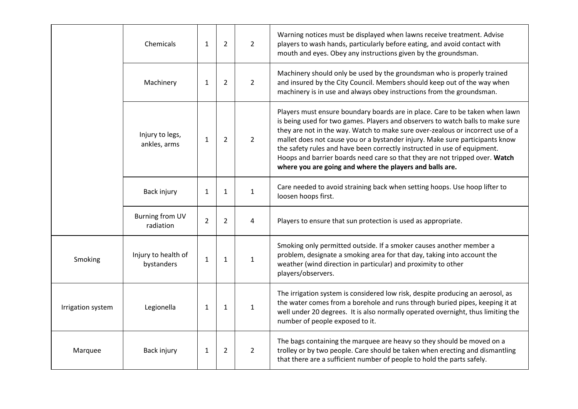|                   | Chemicals                           | $\mathbf{1}$   | 2              | $\overline{2}$ | Warning notices must be displayed when lawns receive treatment. Advise<br>players to wash hands, particularly before eating, and avoid contact with<br>mouth and eyes. Obey any instructions given by the groundsman.                                                                                                                                                                                                                                                                                                                                   |
|-------------------|-------------------------------------|----------------|----------------|----------------|---------------------------------------------------------------------------------------------------------------------------------------------------------------------------------------------------------------------------------------------------------------------------------------------------------------------------------------------------------------------------------------------------------------------------------------------------------------------------------------------------------------------------------------------------------|
|                   | Machinery                           | 1              | $\overline{2}$ | $\overline{2}$ | Machinery should only be used by the groundsman who is properly trained<br>and insured by the City Council. Members should keep out of the way when<br>machinery is in use and always obey instructions from the groundsman.                                                                                                                                                                                                                                                                                                                            |
|                   | Injury to legs,<br>ankles, arms     | $\mathbf{1}$   | $\overline{2}$ | $\overline{2}$ | Players must ensure boundary boards are in place. Care to be taken when lawn<br>is being used for two games. Players and observers to watch balls to make sure<br>they are not in the way. Watch to make sure over-zealous or incorrect use of a<br>mallet does not cause you or a bystander injury. Make sure participants know<br>the safety rules and have been correctly instructed in use of equipment.<br>Hoops and barrier boards need care so that they are not tripped over. Watch<br>where you are going and where the players and balls are. |
|                   | Back injury                         | $\mathbf{1}$   | 1              | $\mathbf{1}$   | Care needed to avoid straining back when setting hoops. Use hoop lifter to<br>loosen hoops first.                                                                                                                                                                                                                                                                                                                                                                                                                                                       |
|                   | <b>Burning from UV</b><br>radiation | $\overline{2}$ | $\overline{2}$ | 4              | Players to ensure that sun protection is used as appropriate.                                                                                                                                                                                                                                                                                                                                                                                                                                                                                           |
| Smoking           | Injury to health of<br>bystanders   | $\mathbf{1}$   | 1              | $\mathbf{1}$   | Smoking only permitted outside. If a smoker causes another member a<br>problem, designate a smoking area for that day, taking into account the<br>weather (wind direction in particular) and proximity to other<br>players/observers.                                                                                                                                                                                                                                                                                                                   |
| Irrigation system | Legionella                          | $\mathbf{1}$   | $\mathbf{1}$   | $\mathbf{1}$   | The irrigation system is considered low risk, despite producing an aerosol, as<br>the water comes from a borehole and runs through buried pipes, keeping it at<br>well under 20 degrees. It is also normally operated overnight, thus limiting the<br>number of people exposed to it.                                                                                                                                                                                                                                                                   |
| Marquee           | Back injury                         | 1              | 2              | $\overline{2}$ | The bags containing the marquee are heavy so they should be moved on a<br>trolley or by two people. Care should be taken when erecting and dismantling<br>that there are a sufficient number of people to hold the parts safely.                                                                                                                                                                                                                                                                                                                        |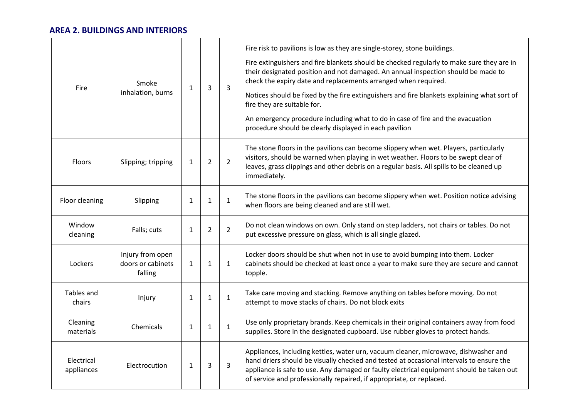## **AREA 2. BUILDINGS AND INTERIORS**

| Fire                     | Smoke<br>inhalation, burns                       | 1            | 3              | 3              | Fire risk to pavilions is low as they are single-storey, stone buildings.<br>Fire extinguishers and fire blankets should be checked regularly to make sure they are in<br>their designated position and not damaged. An annual inspection should be made to<br>check the expiry date and replacements arranged when required.<br>Notices should be fixed by the fire extinguishers and fire blankets explaining what sort of<br>fire they are suitable for.<br>An emergency procedure including what to do in case of fire and the evacuation<br>procedure should be clearly displayed in each pavilion |
|--------------------------|--------------------------------------------------|--------------|----------------|----------------|---------------------------------------------------------------------------------------------------------------------------------------------------------------------------------------------------------------------------------------------------------------------------------------------------------------------------------------------------------------------------------------------------------------------------------------------------------------------------------------------------------------------------------------------------------------------------------------------------------|
| Floors                   | Slipping; tripping                               | $\mathbf{1}$ | $\overline{2}$ | $\overline{2}$ | The stone floors in the pavilions can become slippery when wet. Players, particularly<br>visitors, should be warned when playing in wet weather. Floors to be swept clear of<br>leaves, grass clippings and other debris on a regular basis. All spills to be cleaned up<br>immediately.                                                                                                                                                                                                                                                                                                                |
| Floor cleaning           | Slipping                                         | 1            | 1              | $\mathbf{1}$   | The stone floors in the pavilions can become slippery when wet. Position notice advising<br>when floors are being cleaned and are still wet.                                                                                                                                                                                                                                                                                                                                                                                                                                                            |
| Window<br>cleaning       | Falls; cuts                                      | $\mathbf{1}$ | $\overline{2}$ | $\overline{2}$ | Do not clean windows on own. Only stand on step ladders, not chairs or tables. Do not<br>put excessive pressure on glass, which is all single glazed.                                                                                                                                                                                                                                                                                                                                                                                                                                                   |
| Lockers                  | Injury from open<br>doors or cabinets<br>falling | $\mathbf{1}$ | $\mathbf{1}$   | 1              | Locker doors should be shut when not in use to avoid bumping into them. Locker<br>cabinets should be checked at least once a year to make sure they are secure and cannot<br>topple.                                                                                                                                                                                                                                                                                                                                                                                                                    |
| Tables and<br>chairs     | Injury                                           | $\mathbf{1}$ | $\mathbf{1}$   | $\mathbf{1}$   | Take care moving and stacking. Remove anything on tables before moving. Do not<br>attempt to move stacks of chairs. Do not block exits                                                                                                                                                                                                                                                                                                                                                                                                                                                                  |
| Cleaning<br>materials    | Chemicals                                        | $\mathbf{1}$ | $\mathbf{1}$   | $\mathbf{1}$   | Use only proprietary brands. Keep chemicals in their original containers away from food<br>supplies. Store in the designated cupboard. Use rubber gloves to protect hands.                                                                                                                                                                                                                                                                                                                                                                                                                              |
| Electrical<br>appliances | Electrocution                                    | $\mathbf{1}$ | 3              | 3              | Appliances, including kettles, water urn, vacuum cleaner, microwave, dishwasher and<br>hand driers should be visually checked and tested at occasional intervals to ensure the<br>appliance is safe to use. Any damaged or faulty electrical equipment should be taken out<br>of service and professionally repaired, if appropriate, or replaced.                                                                                                                                                                                                                                                      |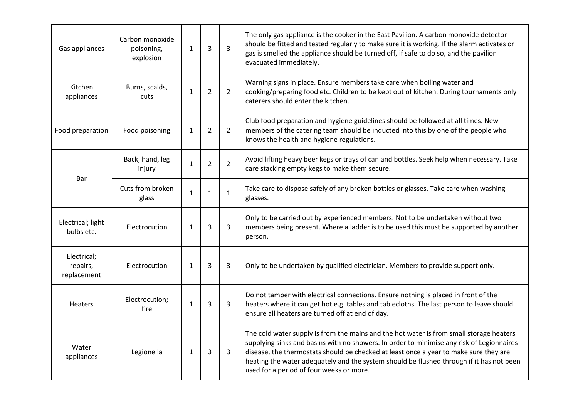| Gas appliances                         | Carbon monoxide<br>poisoning,<br>explosion | $\mathbf{1}$ | 3              | 3              | The only gas appliance is the cooker in the East Pavilion. A carbon monoxide detector<br>should be fitted and tested regularly to make sure it is working. If the alarm activates or<br>gas is smelled the appliance should be turned off, if safe to do so, and the pavilion<br>evacuated immediately.                                                                                                               |
|----------------------------------------|--------------------------------------------|--------------|----------------|----------------|-----------------------------------------------------------------------------------------------------------------------------------------------------------------------------------------------------------------------------------------------------------------------------------------------------------------------------------------------------------------------------------------------------------------------|
| Kitchen<br>appliances                  | Burns, scalds,<br>cuts                     | $\mathbf{1}$ | $\overline{2}$ | $\overline{2}$ | Warning signs in place. Ensure members take care when boiling water and<br>cooking/preparing food etc. Children to be kept out of kitchen. During tournaments only<br>caterers should enter the kitchen.                                                                                                                                                                                                              |
| Food preparation                       | Food poisoning                             | $\mathbf{1}$ | $\overline{2}$ | $\overline{2}$ | Club food preparation and hygiene guidelines should be followed at all times. New<br>members of the catering team should be inducted into this by one of the people who<br>knows the health and hygiene regulations.                                                                                                                                                                                                  |
|                                        | Back, hand, leg<br>injury                  | $\mathbf{1}$ | $\overline{2}$ | $\overline{2}$ | Avoid lifting heavy beer kegs or trays of can and bottles. Seek help when necessary. Take<br>care stacking empty kegs to make them secure.                                                                                                                                                                                                                                                                            |
| Bar                                    | Cuts from broken<br>glass                  | $\mathbf{1}$ | $\mathbf{1}$   | $\mathbf{1}$   | Take care to dispose safely of any broken bottles or glasses. Take care when washing<br>glasses.                                                                                                                                                                                                                                                                                                                      |
| Electrical; light<br>bulbs etc.        | Electrocution                              | $\mathbf{1}$ | 3              | 3              | Only to be carried out by experienced members. Not to be undertaken without two<br>members being present. Where a ladder is to be used this must be supported by another<br>person.                                                                                                                                                                                                                                   |
| Electrical;<br>repairs,<br>replacement | Electrocution                              | $\mathbf{1}$ | 3              | 3              | Only to be undertaken by qualified electrician. Members to provide support only.                                                                                                                                                                                                                                                                                                                                      |
| <b>Heaters</b>                         | Electrocution;<br>fire                     | $\mathbf{1}$ | 3              | 3              | Do not tamper with electrical connections. Ensure nothing is placed in front of the<br>heaters where it can get hot e.g. tables and tablecloths. The last person to leave should<br>ensure all heaters are turned off at end of day.                                                                                                                                                                                  |
| Water<br>appliances                    | Legionella                                 | $\mathbf{1}$ | 3              | 3              | The cold water supply is from the mains and the hot water is from small storage heaters<br>supplying sinks and basins with no showers. In order to minimise any risk of Legionnaires<br>disease, the thermostats should be checked at least once a year to make sure they are<br>heating the water adequately and the system should be flushed through if it has not been<br>used for a period of four weeks or more. |